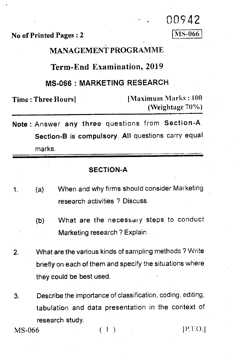No of Printed Pages : 2

00942 MS-066

# MANAGEMENT PROGRAMME

### **Term-End Examination, 2019**

# **MS-066 : MARKETING RESEARCH**

Time : Three Hours] • !Maximum Marks : 100 (Weightage 70%)

Note : Answer any three questions from Section-A . Section-B is compulsory. All questions carry equal marks.

#### SECTION-A

- 1. (a) When and why firms should consider Marketing research activities ? Discuss.
	- (b) What are the necessary steps to conduct Marketing research ? Explain.
- 2. What are the various kinds of sampling methods ? Write briefly on each of them and specify the situations where they could be best used.
- 3. Describe the importance of classification, coding, editing, tabulation and data presentation in the context of research study.

MS-066 ( 1 )

 $|P.T.O.|$